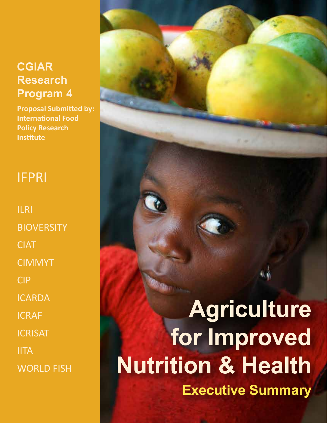# **CGIAR Research Program 4**

**Proposal Submitted by: International Food Policy Research Institute**

# IFPRI

ILRI **BIOVERSITY CIAT** CIMMYT CIP ICARDA ICRAF **ICRISAT** IITA WORLD FISH

**Agriculture for Improved Nutrition & Health Executive Summary**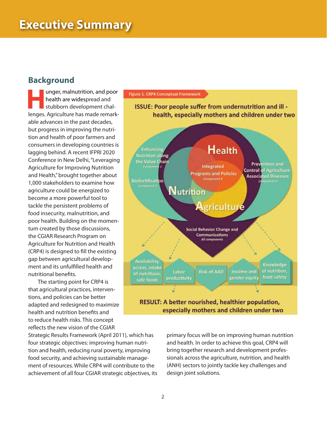# **Background**

unger, malnutrition, and poor health are widespread and stubborn development challenges. Agriculture has made remarkable advances in the past decades, but progress in improving the nutrition and health of poor farmers and consumers in developing countries is lagging behind. A recent IFPRI 2020 Conference in New Delhi, "Leveraging Agriculture for Improving Nutrition and Health," brought together about 1,000 stakeholders to examine how agriculture could be energized to become a more powerful tool to tackle the persistent problems of food insecurity, malnutrition, and poor health. Building on the momentum created by those discussions, the CGIAR Research Program on Agriculture for Nutrition and Health (CRP4) is designed to fill the existing gap between agricultural development and its unfulfilled health and nutritional benefits.

The starting point for CRP4 is that agricultural practices, interventions, and policies can be better adapted and redesigned to maximize health and nutrition benefits and to reduce health risks. This concept reflects the new vision of the CGIAR

Strategic Results Framework (April 2011), which has four strategic objectives: improving human nutrition and health, reducing rural poverty, improving food security, and achieving sustainable management of resources. While CRP4 will contribute to the achievement of all four CGIAR strategic objectives, its



primary focus will be on improving human nutrition and health. In order to achieve this goal, CRP4 will bring together research and development professionals across the agriculture, nutrition, and health (ANH) sectors to jointly tackle key challenges and design joint solutions.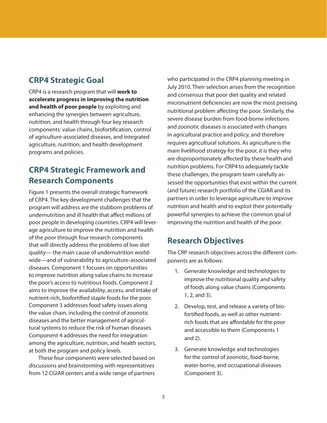# **CRP4 Strategic Goal**

CRP4 is a research program that will **work to accelerate progress in improving the nutrition and health of poor people** by exploiting and enhancing the synergies between agriculture, nutrition, and health through four key research components: value chains, biofortification, control of agriculture-associated diseases, and integrated agriculture, nutrition, and health development programs and policies.

# **CRP4 Strategic Framework and Research Components**

Figure 1 presents the overall strategic framework of CRP4. The key development challenges that the program will address are the stubborn problems of undernutrition and ill health that affect millions of poor people in developing countries. CRP4 will leverage agriculture to improve the nutrition and health of the poor through four research components that will directly address the problems of low diet quality— the main cause of undernutrition worldwide—and of vulnerability to agriculture-associated diseases. Component 1 focuses on opportunities to improve nutrition along value chains to increase the poor's access to nutritious foods. Component 2 aims to improve the availability, access, and intake of nutrient-rich, biofortified staple foods for the poor. Component 3 addresses food safety issues along the value chain, including the control of zoonotic diseases and the better management of agricultural systems to reduce the risk of human diseases. Component 4 addresses the need for integration among the agriculture, nutrition, and health sectors, at both the program and policy levels.

These four components were selected based on discussions and brainstorming with representatives from 12 CGIAR centers and a wide range of partners

who participated in the CRP4 planning meeting in July 2010. Their selection arises from the recognition and consensus that poor diet quality and related micronutrient deficiencies are now the most pressing nutritional problem affecting the poor. Similarly, the severe disease burden from food-borne infections and zoonotic diseases is associated with changes in agricultural practice and policy, and therefore requires agricultural solutions. As agriculture is the main livelihood strategy for the poor, it is they who are disproportionately affected by these health and nutrition problems. For CRP4 to adequately tackle these challenges, the program team carefully assessed the opportunities that exist within the current (and future) research portfolio of the CGIAR and its partners in order to leverage agriculture to improve nutrition and health and to exploit their potentially powerful synergies to achieve the common goal of improving the nutrition and health of the poor.

# **Research Objectives**

The CRP research objectives across the different components are as follows:

- 1. Generate knowledge and technologies to improve the nutritional quality and safety of foods along value chains (Components 1, 2, and 3).
- 2. Develop, test, and release a variety of biofortified foods, as well as other nutrientrich foods that are affordable for the poor and accessible to them (Components 1 and 2).
- 3. Generate knowledge and technologies for the control of zoonotic, food-borne, water-borne, and occupational diseases (Component 3).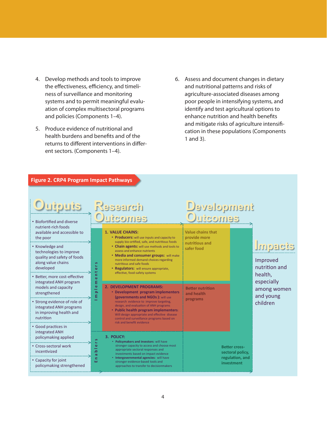- 4. Develop methods and tools to improve the effectiveness, efficiency, and timeliness of surveillance and monitoring systems and to permit meaningful evaluation of complex multisectoral programs and policies (Components 1–4).
- 5. Produce evidence of nutritional and health burdens and benefits and of the returns to different interventions in different sectors. (Components 1–4).
- 6. Assess and document changes in dietary and nutritional patterns and risks of agriculture-associated diseases among poor people in intensifying systems, and identify and test agricultural options to enhance nutrition and health benefits and mitigate risks of agriculture intensification in these populations (Components 1 and 3).

| Figure 2. CRP4 Program Impact Pathways                                                                                                                                                                                         |                                                                                             |                                                                                                                                                                                                                                                                                                                                                                                                      |                                                                                                            |                                          |                                                                                           |
|--------------------------------------------------------------------------------------------------------------------------------------------------------------------------------------------------------------------------------|---------------------------------------------------------------------------------------------|------------------------------------------------------------------------------------------------------------------------------------------------------------------------------------------------------------------------------------------------------------------------------------------------------------------------------------------------------------------------------------------------------|------------------------------------------------------------------------------------------------------------|------------------------------------------|-------------------------------------------------------------------------------------------|
| <b>Outputs</b><br>• Biofortified and diverse<br>nutrient-rich foods<br>available and accessible to<br>the poor<br>• Knowledge and<br>technologies to improve<br>quality and safety of foods<br>along value chains<br>developed | S<br>Ł.<br>$\omega$<br>مه<br>$\blacksquare$<br>$\bullet$<br>ε<br>$\bullet$<br>$\Omega$<br>ε | <b>Research</b><br>utcomes<br><b>1. VALUE CHAINS:</b><br>• Producers: will use inputs and capacity to<br>supply bio-ortified, safe, and nutritious foods<br>• Chain agents: will use methods and tools to<br>assess and enhance nutrients<br>• Media and consumer groups: will make<br>more informed demand choices regarding<br>nutritious and safe foods<br>• Regulators: will ensure appropriate, | Development<br><u>Outcomes</u><br><b>Value chains that</b><br>provide more<br>nutritious and<br>safer food |                                          | Impacts<br>Improved<br>nutrition and<br>health,<br>especially<br>among women<br>and young |
| · Better, more cost-effective<br>integrated ANH program<br>models and capacity<br>strengthened                                                                                                                                 |                                                                                             | effective, food-safety systems<br>2. DEVELOPMENT PROGRAMS:<br>• Development program implementers<br>(governments and NGOs): will use<br>research evidence to improve targeting,<br>design, and evaluation of ANH programs<br>• Public health program implementers:<br>Will design appropriate and effective disease<br>control and surveillance programs based on<br>risk and benefit evidence       | <b>Better nutrition</b><br>and health<br>programs                                                          |                                          |                                                                                           |
| • Strong evidence of role of<br>integrated ANH programs<br>in improving health and<br>nutrition                                                                                                                                |                                                                                             |                                                                                                                                                                                                                                                                                                                                                                                                      |                                                                                                            |                                          | children                                                                                  |
| • Good practices in<br>integrated ANH<br>policymaking applied                                                                                                                                                                  |                                                                                             | 3. POLICY:<br>• Policymakers and investors: will have                                                                                                                                                                                                                                                                                                                                                |                                                                                                            |                                          |                                                                                           |
| • Cross-sectoral work<br>incentivized                                                                                                                                                                                          | $\bullet$<br>م<br>$\sigma$                                                                  | stronger capacity to access and choose most<br>appropriate sectoral responses and<br>investments based on impact evidence                                                                                                                                                                                                                                                                            |                                                                                                            | <b>Better cross-</b><br>sectoral policy, |                                                                                           |
| • Capacity for joint<br>policymaking strengthened                                                                                                                                                                              | c<br>ш                                                                                      | • Intergovernmental agencies: will have<br>stronger evidence-based tools and<br>approaches to transfer to decisionmakers                                                                                                                                                                                                                                                                             |                                                                                                            | regulation, and<br>investment            |                                                                                           |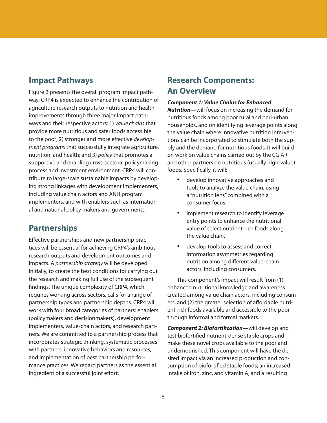### **Impact Pathways**

Figure 2 presents the overall program impact pathway. CRP4 is expected to enhance the contribution of agriculture research outputs to nutrition and health improvements through three major impact pathways and their respective actors: 1) *value chains* that provide more nutritious and safer foods accessible to the poor; 2) stronger and more effective *development programs* that successfully integrate agriculture, nutrition, and health; and 3) *policy* that promotes a supportive and enabling cross-sectoral policymaking process and investment environment. CRP4 will contribute to large-scale sustainable impacts by developing strong linkages with development implementers, including value chain actors and ANH program implementers, and with enablers such as international and national policy makers and governments.

## **Partnerships**

Effective partnerships and new partnership practices will be essential for achieving CRP4's ambitious research outputs and development outcomes and impacts. A *partnership strategy* will be developed initially, to create the best conditions for carrying out the research and making full use of the subsequent findings. The unique complexity of CRP4, which requires working across sectors, calls for a range of partnership types and partnership depths. CRP4 will work with four broad categories of partners: enablers (policymakers and decisionmakers), development implementers, value-chain actors, and research partners. We are committed to a partnership process that incorporates strategic thinking, systematic processes with partners, innovative behaviors and resources, and implementation of best partnership performance practices. We regard partners as the essential ingredient of a successful joint effort.

# **Research Components: An Overview**

#### *Component 1: Value Chains for Enhanced*

*Nutrition—*will focus on increasing the demand for nutritious foods among poor rural and peri-urban households, and on identifying leverage points along the value chain where innovative nutrition interventions can be incorporated to stimulate both the supply and the demand for nutritious foods. It will build on work on value chains carried out by the CGIAR and other partners on nutritious (usually high-value) foods. Specifically, it will:

- • develop innovative approaches and tools to analyze the value chain, using a "nutrition lens" combined with a consumer focus.
- implement research to identify leverage entry points to enhance the nutritional value of select nutrient-rich foods along the value chain.
- • develop tools to assess and correct information asymmetries regarding nutrition among different value-chain actors, including consumers.

This component's impact will result from (1) enhanced nutritional knowledge and awareness created among value chain actors, including consumers, and (2) the greater selection of affordable nutrient-rich foods available and accessible to the poor through informal and formal markets.

*Component 2: Biofortification—*will develop and test biofortified nutrient-dense staple crops and make these novel crops available to the poor and undernourished. This component will have the desired impact via an increased production and consumption of biofortified staple foods; an increased intake of iron, zinc, and vitamin A; and a resulting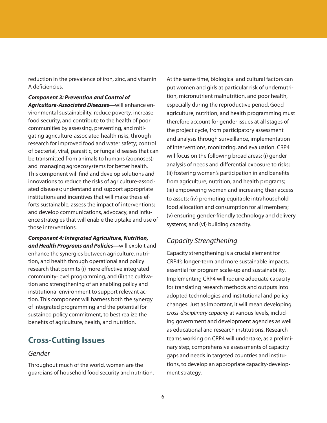reduction in the prevalence of iron, zinc, and vitamin A deficiencies.

*Component 3: Prevention and Control of Agriculture-Associated Diseases—*will enhance environmental sustainability, reduce poverty, increase food security, and contribute to the health of poor communities by assessing, preventing, and mitigating agriculture-associated health risks, through research for improved food and water safety; control of bacterial, viral, parasitic, or fungal diseases that can be transmitted from animals to humans (zoonoses); and managing agroecosystems for better health. This component will find and develop solutions and innovations to reduce the risks of agriculture-associated diseases; understand and support appropriate institutions and incentives that will make these efforts sustainable; assess the impact of interventions; and develop communications, advocacy, and influence strategies that will enable the uptake and use of those interventions.

*Component 4: Integrated Agriculture, Nutrition, and Health Programs and Policies—*will exploit and enhance the synergies between agriculture, nutrition, and health through operational and policy research that permits (i) more effective integrated community-level programming, and (ii) the cultivation and strengthening of an enabling policy and institutional environment to support relevant action. This component will harness both the synergy of integrated programming and the potential for sustained policy commitment, to best realize the benefits of agriculture, health, and nutrition.

## **Cross-Cutting Issues**

#### *Gender*

Throughout much of the world, women are the guardians of household food security and nutrition. At the same time, biological and cultural factors can put women and girls at particular risk of undernutrition, micronutrient malnutrition, and poor health, especially during the reproductive period. Good agriculture, nutrition, and health programming must therefore account for gender issues at all stages of the project cycle, from participatory assessment and analysis through surveillance, implementation of interventions, monitoring, and evaluation. CRP4 will focus on the following broad areas: (i) gender analysis of needs and differential exposure to risks; (ii) fostering women's participation in and benefits from agriculture, nutrition, and health programs; (iii) empowering women and increasing their access to assets; (iv) promoting equitable intrahousehold food allocation and consumption for all members; (v) ensuring gender-friendly technology and delivery systems; and (vi) building capacity.

## *Capacity Strengthening*

Capacity strengthening is a crucial element for CRP4's longer-term and more sustainable impacts, essential for program scale-up and sustainability. Implementing CRP4 will require adequate capacity for translating research methods and outputs into adopted technologies and institutional and policy changes. Just as important, it will mean developing *cross-disciplinary capacity* at various levels, including government and development agencies as well as educational and research institutions. Research teams working on CRP4 will undertake, as a preliminary step, comprehensive assessments of capacity gaps and needs in targeted countries and institutions, to develop an appropriate capacity-development strategy.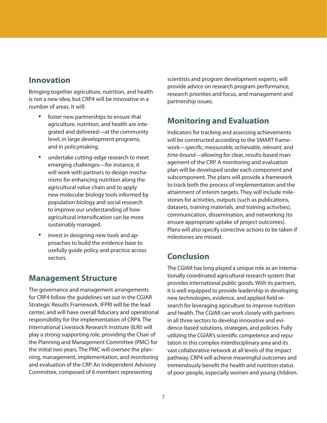## **Innovation**

Bringing together agriculture, nutrition, and health is not a new idea, but CRP4 will be innovative in a number of areas. It will:

- foster new partnerships to ensure that agriculture, nutrition, and health are integrated and delivered—at the community level, in large development programs, and in policymaking.
- undertake cutting-edge research to meet emerging challenges—for instance, it will work with partners to design mechanisms for enhancing nutrition along the agricultural value chain and to apply new molecular biology tools informed by population biology and social research to improve our understanding of how agricultural intensification can be more sustainably managed.
- invest in designing new tools and approaches to build the evidence base to usefully guide policy and practice across sectors.

### **Management Structure**

The governance and management arrangements for CRP4 follow the guidelines set out in the CGIAR Strategic Results Framework. IFPRI will be the lead center, and will have overall fiduciary and operational responsibility for the implementation of CRP4. The International Livestock Research Institute (ILRI) will play a strong supporting role, providing the Chair of the Planning and Management Committee (PMC) for the initial two years. The PMC will oversee the planning, management, implementation, and monitoring and evaluation of the CRP. An Independent Advisory Committee, composed of 6 members representing

scientists and program development experts, will provide advice on research program performance, research priorities and focus, and management and partnership issues.

# **Monitoring and Evaluation**

Indicators for tracking and assessing achievements will be constructed according to the SMART framework—*specific, measurable, achievable, relevant,* and *time-bound*—allowing for clear, results-based management of the CRP. A monitoring and evaluation plan will be developed under each component and subcomponent. The plans will provide a framework to track both the process of implementation and the attainment of interim targets. They will include milestones for activities, outputs (such as publications, datasets, training materials, and training activities), communication, dissemination, and networking (to ensure appropriate uptake of project outcomes). Plans will also specify corrective actions to be taken if milestones are missed.

## **Conclusion**

The CGIAR has long played a unique role as an internationally coordinated agricultural research system that provides international public goods. With its partners, it is well equipped to provide leadership in developing new technologies, evidence, and applied field research for leveraging agriculture to improve nutrition and health. The CGIAR can work closely with partners in all three sectors to develop innovative and evidence-based solutions, strategies, and policies. Fully utilizing the CGIAR's scientific competence and reputation in this complex interdisciplinary area and its vast collaborative network at all levels of the impact pathway, CRP4 will achieve meaningful outcomes and tremendously benefit the health and nutrition status of poor people, especially women and young children.